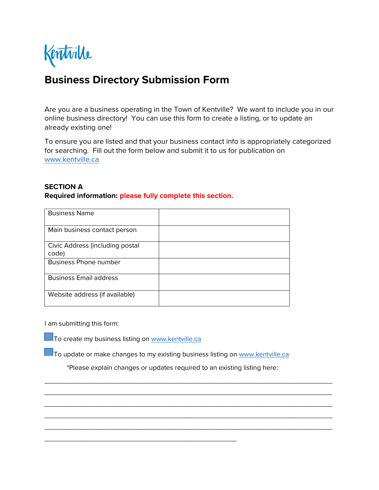Kentrille

# **Business Directory Submission Form**

Are you are a business operating in the Town of Kentville? We want to include you in our online business directory! You can use this form to create a listing, or to update an already existing one!

To ensure you are listed and that your business contact info is appropriately categorized for searching. Fill out the form below and submit it to us for publication on [www.kentville.ca](http://www.kentville.ca/)

## **SECTION A**

**Required information: please fully complete this section.**

| <b>Business Name</b>            |  |
|---------------------------------|--|
|                                 |  |
| Main business contact person    |  |
|                                 |  |
| Civic Address (including postal |  |
| code)                           |  |
| <b>Business Phone number</b>    |  |
|                                 |  |
| <b>Business Email address</b>   |  |
|                                 |  |
| Website address (if available)  |  |
|                                 |  |

I am submitting this form:

 $\Box$  To create my business listing on [www.kentville.ca](http://www.kentville.ca/)

\_\_\_\_\_\_\_\_\_\_\_\_\_\_\_\_\_\_\_\_\_\_\_\_\_\_\_\_\_\_\_\_\_\_\_\_\_\_\_\_\_\_\_\_\_\_\_\_\_\_

To update or make changes to my existing business listing on [www.kentville.ca](http://www.kentville.ca/)

\*Please explain changes or updates required to an existing listing here:

\_\_\_\_\_\_\_\_\_\_\_\_\_\_\_\_\_\_\_\_\_\_\_\_\_\_\_\_\_\_\_\_\_\_\_\_\_\_\_\_\_\_\_\_\_\_\_\_\_\_\_\_\_\_\_\_\_\_\_\_\_\_\_\_\_\_\_\_\_\_\_\_\_\_\_ \_\_\_\_\_\_\_\_\_\_\_\_\_\_\_\_\_\_\_\_\_\_\_\_\_\_\_\_\_\_\_\_\_\_\_\_\_\_\_\_\_\_\_\_\_\_\_\_\_\_\_\_\_\_\_\_\_\_\_\_\_\_\_\_\_\_\_\_\_\_\_\_\_\_\_ \_\_\_\_\_\_\_\_\_\_\_\_\_\_\_\_\_\_\_\_\_\_\_\_\_\_\_\_\_\_\_\_\_\_\_\_\_\_\_\_\_\_\_\_\_\_\_\_\_\_\_\_\_\_\_\_\_\_\_\_\_\_\_\_\_\_\_\_\_\_\_\_\_\_\_ \_\_\_\_\_\_\_\_\_\_\_\_\_\_\_\_\_\_\_\_\_\_\_\_\_\_\_\_\_\_\_\_\_\_\_\_\_\_\_\_\_\_\_\_\_\_\_\_\_\_\_\_\_\_\_\_\_\_\_\_\_\_\_\_\_\_\_\_\_\_\_\_\_\_\_ \_\_\_\_\_\_\_\_\_\_\_\_\_\_\_\_\_\_\_\_\_\_\_\_\_\_\_\_\_\_\_\_\_\_\_\_\_\_\_\_\_\_\_\_\_\_\_\_\_\_\_\_\_\_\_\_\_\_\_\_\_\_\_\_\_\_\_\_\_\_\_\_\_\_\_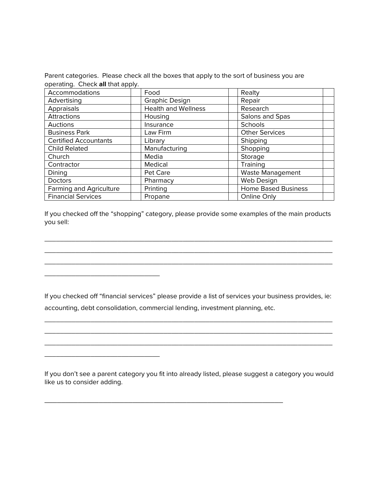Parent categories. Please check all the boxes that apply to the sort of business you are operating. Check **all** that apply.

| Accommodations                 | Food                       | Realty                     |
|--------------------------------|----------------------------|----------------------------|
| Advertising                    | <b>Graphic Design</b>      | Repair                     |
| Appraisals                     | <b>Health and Wellness</b> | Research                   |
| Attractions                    | Housing                    | Salons and Spas            |
| Auctions                       | Insurance                  | Schools                    |
| <b>Business Park</b>           | Law Firm                   | <b>Other Services</b>      |
| <b>Certified Accountants</b>   | Library                    | Shipping                   |
| <b>Child Related</b>           | Manufacturing              | Shopping                   |
| Church                         | Media                      | Storage                    |
| Contractor                     | Medical                    | Training                   |
| Dining                         | Pet Care                   | Waste Management           |
| <b>Doctors</b>                 | Pharmacy                   | Web Design                 |
| <b>Farming and Agriculture</b> | Printing                   | <b>Home Based Business</b> |
| <b>Financial Services</b>      | Propane                    | Online Only                |

If you checked off the "shopping" category, please provide some examples of the main products you sell:

\_\_\_\_\_\_\_\_\_\_\_\_\_\_\_\_\_\_\_\_\_\_\_\_\_\_\_\_\_\_\_\_\_\_\_\_\_\_\_\_\_\_\_\_\_\_\_\_\_\_\_\_\_\_\_\_\_\_\_\_\_\_\_\_\_\_\_\_\_\_\_\_\_\_\_ \_\_\_\_\_\_\_\_\_\_\_\_\_\_\_\_\_\_\_\_\_\_\_\_\_\_\_\_\_\_\_\_\_\_\_\_\_\_\_\_\_\_\_\_\_\_\_\_\_\_\_\_\_\_\_\_\_\_\_\_\_\_\_\_\_\_\_\_\_\_\_\_\_\_\_ \_\_\_\_\_\_\_\_\_\_\_\_\_\_\_\_\_\_\_\_\_\_\_\_\_\_\_\_\_\_\_\_\_\_\_\_\_\_\_\_\_\_\_\_\_\_\_\_\_\_\_\_\_\_\_\_\_\_\_\_\_\_\_\_\_\_\_\_\_\_\_\_\_\_\_

If you checked off "financial services" please provide a list of services your business provides, ie: accounting, debt consolidation, commercial lending, investment planning, etc.

\_\_\_\_\_\_\_\_\_\_\_\_\_\_\_\_\_\_\_\_\_\_\_\_\_\_\_\_\_\_\_\_\_\_\_\_\_\_\_\_\_\_\_\_\_\_\_\_\_\_\_\_\_\_\_\_\_\_\_\_\_\_\_\_\_\_\_\_\_\_\_\_\_\_\_ \_\_\_\_\_\_\_\_\_\_\_\_\_\_\_\_\_\_\_\_\_\_\_\_\_\_\_\_\_\_\_\_\_\_\_\_\_\_\_\_\_\_\_\_\_\_\_\_\_\_\_\_\_\_\_\_\_\_\_\_\_\_\_\_\_\_\_\_\_\_\_\_\_\_\_ \_\_\_\_\_\_\_\_\_\_\_\_\_\_\_\_\_\_\_\_\_\_\_\_\_\_\_\_\_\_\_\_\_\_\_\_\_\_\_\_\_\_\_\_\_\_\_\_\_\_\_\_\_\_\_\_\_\_\_\_\_\_\_\_\_\_\_\_\_\_\_\_\_\_\_

\_\_\_\_\_\_\_\_\_\_\_\_\_\_\_\_\_\_\_\_\_\_\_\_\_\_\_\_\_\_

\_\_\_\_\_\_\_\_\_\_\_\_\_\_\_\_\_\_\_\_\_\_\_\_\_\_\_\_\_\_

If you don't see a parent category you fit into already listed, please suggest a category you would like us to consider adding.

\_\_\_\_\_\_\_\_\_\_\_\_\_\_\_\_\_\_\_\_\_\_\_\_\_\_\_\_\_\_\_\_\_\_\_\_\_\_\_\_\_\_\_\_\_\_\_\_\_\_\_\_\_\_\_\_\_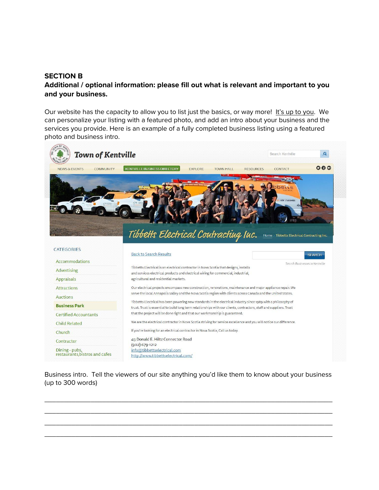#### **SECTION B**

## **Additional / optional information: please fill out what is relevant and important to you and your business.**

Our website has the capacity to allow you to list just the basics, or way more! It's up to you. We can personalize your listing with a featured photo, and add an intro about your business and the services you provide. Here is an example of a fully completed business listing using a featured photo and business intro.



Business intro. Tell the viewers of our site anything you'd like them to know about your business (up to 300 words)

\_\_\_\_\_\_\_\_\_\_\_\_\_\_\_\_\_\_\_\_\_\_\_\_\_\_\_\_\_\_\_\_\_\_\_\_\_\_\_\_\_\_\_\_\_\_\_\_\_\_\_\_\_\_\_\_\_\_\_\_\_\_\_\_\_\_\_\_\_\_\_\_\_\_\_ \_\_\_\_\_\_\_\_\_\_\_\_\_\_\_\_\_\_\_\_\_\_\_\_\_\_\_\_\_\_\_\_\_\_\_\_\_\_\_\_\_\_\_\_\_\_\_\_\_\_\_\_\_\_\_\_\_\_\_\_\_\_\_\_\_\_\_\_\_\_\_\_\_\_\_ \_\_\_\_\_\_\_\_\_\_\_\_\_\_\_\_\_\_\_\_\_\_\_\_\_\_\_\_\_\_\_\_\_\_\_\_\_\_\_\_\_\_\_\_\_\_\_\_\_\_\_\_\_\_\_\_\_\_\_\_\_\_\_\_\_\_\_\_\_\_\_\_\_\_\_ \_\_\_\_\_\_\_\_\_\_\_\_\_\_\_\_\_\_\_\_\_\_\_\_\_\_\_\_\_\_\_\_\_\_\_\_\_\_\_\_\_\_\_\_\_\_\_\_\_\_\_\_\_\_\_\_\_\_\_\_\_\_\_\_\_\_\_\_\_\_\_\_\_\_\_